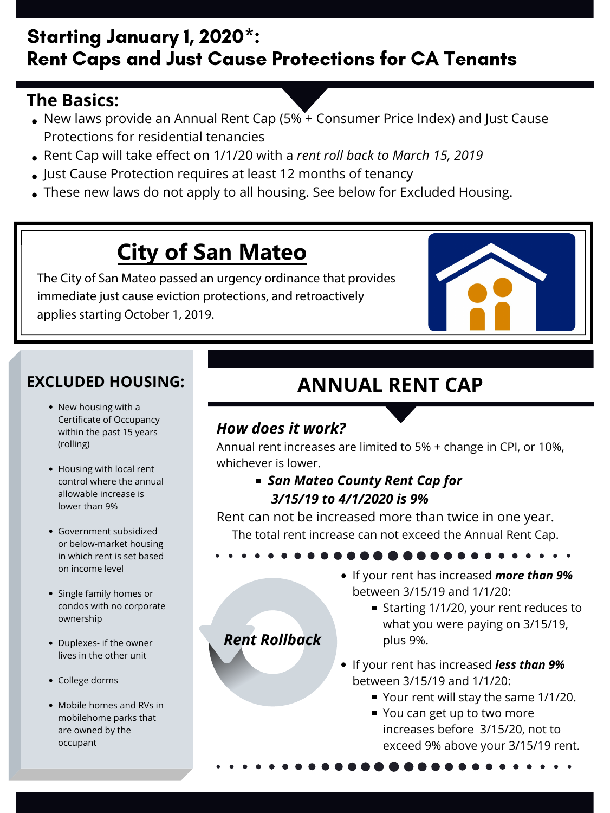# Starting January 1, 2020\*: Rent Caps and Just Cause Protections for CA Tenants

## **The Basics:**

- New laws provide an Annual Rent Cap (5% + Consumer Price Index) and Just Cause Protections for residential tenancies
- Rent Cap will take effect on 1/1/20 with a *rent roll back to March 15, 2019*
- Just Cause Protection requires at least 12 months of tenancy
- These new laws do not apply to all housing. See below for Excluded Housing.

#### *How does it work?*

Annual rent increases are limited to 5% + change in CPI, or 10%, whichever is lower.

> *San Mateo County Rent Cap for 3/15/19 to 4/1/2020 is 9%*

• New housing with a Certificate of Occupancy within the past 15 years (rolling)

Rent can not be increased more than twice in one year.

The total rent increase can not exceed the Annual Rent Cap.

# **ANNUAL RENT CAP**

## *Rent Rollback*

- If your rent has increased *more than 9%* between 3/15/19 and 1/1/20:
	- Starting 1/1/20, your rent reduces to what you were paying on 3/15/19, plus 9%.
- If your rent has increased *less than 9%* between 3/15/19 and 1/1/20:
	- Your rent will stay the same 1/1/20.
	- You can get up to two more increases before 3/15/20, not to exceed 9% above your 3/15/19 rent.

### **EXCLUDED HOUSING:**

- Housing with local rent control where the annual allowable increase is lower than 9%
- Government subsidized or below-market housing in which rent is set based on income level
- Single family homes or condos with no corporate ownership
- Duplexes- if the owner lives in the other unit
- College dorms
- Mobile homes and RVs in mobilehome parks that are owned by the occupant

# **City of San Mateo**

The City of San Mateo passed an urgency ordinance that provides immediate just cause eviction protections, and retroactively applies starting October 1, 2019.